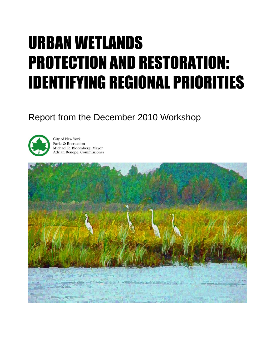# URBAN WETLANDS PROTECTION AND RESTORATION: IDENTIFYING REGIONAL PRIORITIES

# Report from the December 2010 Workshop



**City of New York** Parks & Recreation Michael R. Bloomberg, Mayor Adrian Benepe, Commissioner

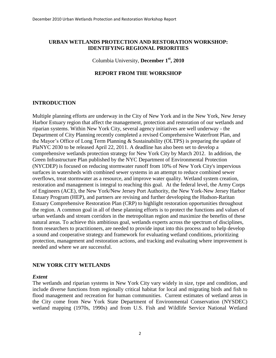#### **URBAN WETLANDS PROTECTION AND RESTORATION WORKSHOP: IDENTIFYING REGIONAL PRIORITIES**

# Columbia University, **December 1st, 2010**

#### **REPORT FROM THE WORKSHOP**

#### **INTRODUCTION**

Multiple planning efforts are underway in the City of New York and in the New York, New Jersey Harbor Estuary region that affect the management, protection and restoration of our wetlands and riparian systems. Within New York City, several agency initiatives are well underway - the Department of City Planning recently completed a revised Comprehensive Waterfront Plan, and the Mayor's Office of Long Term Planning & Sustainability (OLTPS) is preparing the update of PlaNYC 2030 to be released April 22, 2011. A deadline has also been set to develop a comprehensive wetlands protection strategy for New York City by March 2012. In addition, the Green Infrastructure Plan published by the NYC Department of Environmental Protection (NYCDEP) is focused on reducing stormwater runoff from 10% of New York City's impervious surfaces in watersheds with combined sewer systems in an attempt to reduce combined sewer overflows, treat stormwater as a resource, and improve water quality. Wetland system creation, restoration and management is integral to reaching this goal. At the federal level, the Army Corps of Engineers (ACE), the New York/New Jersey Port Authority, the New York-New Jersey Harbor Estuary Program (HEP), and partners are revising and further developing the Hudson-Raritan Estuary Comprehensive Restoration Plan (CRP) to highlight restoration opportunities throughout the region. A common goal in all of these planning efforts is to protect the functions and values of urban wetlands and stream corridors in the metropolitan region and maximize the benefits of these natural areas. To achieve this ambitious goal, wetlands experts across the spectrum of disciplines, from researchers to practitioners, are needed to provide input into this process and to help develop a sound and cooperative strategy and framework for evaluating wetland conditions, prioritizing protection, management and restoration actions, and tracking and evaluating where improvement is needed and where we are successful.

#### **NEW YORK CITY WETLANDS**

#### *Extent*

The wetlands and riparian systems in New York City vary widely in size, type and condition, and include diverse functions from regionally critical habitat for local and migrating birds and fish to flood management and recreation for human communities. Current estimates of wetland areas in the City come from New York State Department of Environmental Conservation (NYSDEC) wetland mapping (1970s, 1990s) and from U.S. Fish and Wildlife Service National Wetland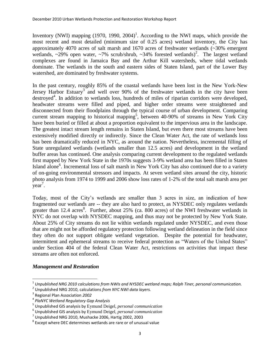Inventory (NWI) mapping  $(1970, 1990, 2004)^1$ . According to the NWI maps, which provide the most recent and most detailed (minimum size of 0.25 acres) wetland inventory, the City has approximately 4070 acres of salt marsh and 1670 acres of freshwater wetlands (~30% emergent wetlands,  $\sim$ 29% open water,  $\sim$ 7% scrub/shrub,  $\sim$ 34% forested wetlands)<sup>2</sup>. The largest wetland complexes are found in Jamaica Bay and the Arthur Kill watersheds, where tidal wetlands dominate. The wetlands in the south and eastern sides of Staten Island, part of the Lower Bay watershed, are dominated by freshwater systems.

In the past century, roughly 85% of the coastal wetlands have been lost in the New York-New Jersey Harbor Estuary<sup>3</sup> and well over 90% of the freshwater wetlands in the city have been destroyed<sup>4</sup>. In addition to wetlands loss, hundreds of miles of riparian corridors were developed, headwater streams were filled and piped, and higher order streams were straightened and disconnected from their floodplains through the typical course of urban development. Comparing current stream mapping to historical mapping<sup>5</sup>, between 40-90% of streams in New York City have been buried or filled at about a proportion equivalent to the impervious area in the landscape. The greatest intact stream length remains in Staten Island, but even there most streams have been extensively modified directly or indirectly. Since the Clean Water Act, the rate of wetlands loss has been dramatically reduced in NYC, as around the nation. Nevertheless, incremental filling of State unregulated wetlands (wetlands smaller than 12.5 acres) and development in the wetland buffer areas has continued. One analysis comparing current development to the regulated wetlands first mapped by New York State in the 1970s suggests 3-9% wetland area has been filled in Staten Island alone<sup>6</sup>. Incremental loss of salt marsh in New York City has also continued due to a variety of on-going environmental stressors and impacts. At seven wetland sites around the city, historic photo analysis from 1974 to 1999 and 2006 show loss rates of 1-2% of the total salt marsh area per year<sup>7</sup>.

Today, most of the City's wetlands are smaller than 3 acres in size, an indication of how fragmented our wetlands are -- they are also hard to protect, as NYSDEC only regulates wetlands greater than 12.4 acres<sup>8</sup>. Further, about 25% (ca. 800 acres) of the NWI freshwater wetlands in NYC do not overlap with NYSDEC mapping, and thus may not be protected by New York State. About 25% of City streams do not lie within wetlands regulated under NYSDEC, and even those that are might not be afforded regulatory protection following wetland delineation in the field since they often do not support obligate wetland vegetation. Despite the potential for headwater, intermittent and ephemeral streams to receive federal protection as "Waters of the United States" under Section 404 of the federal Clean Water Act, restrictions on activities that impact these streams are often not enforced.

# *Management and Restoration*

 $\overline{\phantom{a}}$ 

<sup>1</sup> *Unpublished NRG 2010 calculations from NWIs and NYSDEC wetland maps; Ralph Tiner, personal communication.*

<sup>2</sup> Unpublished NRG 2010, calculations *from NYC NWI data layers.*

<sup>3</sup> Regional Plan Association *2002*

<sup>4</sup> *PlaNYC Wetland Regulatory Gap Analysis*

<sup>5</sup> Unpublished GIS analysis by Eymund Deigel, *personal communication*

<sup>6</sup> Unpublished GIS analysis by Eymund Deigel, *personal communication*

 $^7$  Unpublished NRG 2010, Mushacke 2006, Hartig 2002, 2003

 $^8$  Except where DEC determines wetlands are rare or of unusual value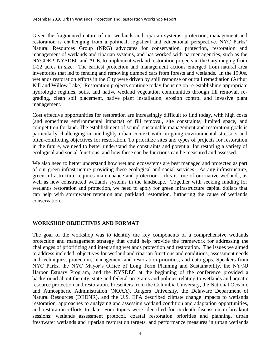Given the fragmented nature of our wetlands and riparian systems, protection, management and restoration is challenging from a political, logistical and educational perspective. NYC Parks' Natural Resources Group (NRG) advocates for conservation, protection, restoration and management of wetlands and riparian systems, and has worked with partner agencies, such as the NYCDEP, NYSDEC and ACE, to implement wetland restoration projects in the City ranging from 1-22 acres in size. The earliest protection and management actions emerged from natural area inventories that led to fencing and removing dumped cars from forests and wetlands. In the 1990s, wetlands restoration efforts in the City were driven by spill response or outfall remediation (Arthur Kill and Willow Lake). Restoration projects continue today focusing on re-establishing appropriate hydrologic regimes, soils, and native wetland vegetation communities through fill removal, regrading, clean soil placement, native plant installation, erosion control and invasive plant management.

Cost effective opportunities for restoration are increasingly difficult to find today, with high costs (and sometimes environmental impacts) of fill removal, site constraints, limited space, and competition for land. The establishment of sound, sustainable management and restoration goals is particularly challenging in our highly urban context with on-going environmental stressors and often-conflicting objectives for restoration. To prioritize sites and types of projects for restoration in the future, we need to better understand the constraints and potential for restoring a variety of ecological and social functions, and how these can be functions can be measured and assessed.

We also need to better understand how wetland ecosystems are best managed and protected as part of our green infrastructure providing these ecological and social services. As any infrastructure, green infrastructure requires maintenance and protection – this is true of our native wetlands, as well as new constructed wetlands systems in the landscape. Together with seeking funding for wetlands restoration and protection, we need to apply for green infrastructure capital dollars that can help with stormwater retention and parkland restoration, furthering the cause of wetlands conservation.

# **WORKSHOP OBJECTIVES AND FORMAT**

The goal of the workshop was to identify the key components of a comprehensive wetlands protection and management strategy that could help provide the framework for addressing the challenges of prioritizing and integrating wetlands protection and restoration. The issues we aimed to address included: objectives for wetland and riparian functions and conditions; assessment needs and techniques; protection, management and restoration priorities; and data gaps. Speakers from NYC Parks, the NYC Mayor's Office of Long Term Planning and Sustainability, the NY/NJ Harbor Estuary Program, and the NYSDEC at the beginning of the conference provided a background about the city, state and federal programs and policies relating to wetlands and aquatic resource protection and restoration. Presenters from the Columbia University, the National Oceanic and Atmospheric Administration (NOAA), Rutgers University, the Delaware Department of Natural Resources (DEDNR), and the U.S. EPA described climate change impacts to wetlands restoration, approaches to analyzing and assessing wetland condition and adaptation opportunities, and restoration efforts to date. Four topics were identified for in-depth discussion in breakout sessions: wetlands assessment protocol, coastal restoration priorities and planning, urban freshwater wetlands and riparian restoration targets, and performance measures in urban wetlands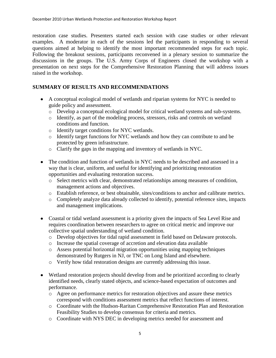restoration case studies. Presenters started each session with case studies or other relevant examples. A moderator in each of the sessions led the participants in responding to several questions aimed at helping to identify the most important recommended steps for each topic. Following the breakout sessions, participants reconvened in a plenary session to summarize the discussions in the groups. The U.S. Army Corps of Engineers closed the workshop with a presentation on next steps for the Comprehensive Restoration Planning that will address issues raised in the workshop.

# **SUMMARY OF RESULTS AND RECOMMENDATIONS**

- A conceptual ecological model of wetlands and riparian systems for NYC is needed to guide policy and assessment.
	- o Develop a conceptual ecological model for critical wetland systems and sub-systems.
	- o Identify, as part of the modeling process, stressors, risks and controls on wetland conditions and function.
	- o Identify target conditions for NYC wetlands.
	- o Identify target functions for NYC wetlands and how they can contribute to and be protected by green infrastructure.
	- o Clarify the gaps in the mapping and inventory of wetlands in NYC.
- The condition and function of wetlands in NYC needs to be described and assessed in a way that is clear, uniform, and useful for identifying and prioritizing restoration opportunities and evaluating restoration success.
	- o Select metrics with clear, demonstrated relationships among measures of condition, management actions and objectives.
	- o Establish reference, or best obtainable, sites/conditions to anchor and calibrate metrics.
	- o Completely analyze data already collected to identify, potential reference sites, impacts and management implications.
- Coastal or tidal wetland assessment is a priority given the impacts of Sea Level Rise and requires coordination between researchers to agree on critical metric and improve our collective spatial understanding of wetland condition.
	- o Develop objectives for tidal rapid assessment in field based on Delaware protocols.
	- o Increase the spatial coverage of accretion and elevation data available
	- o Assess potential horizontal migration opportunities using mapping techniques demonstrated by Rutgers in NJ, or TNC on Long Island and elsewhere.
	- o Verify how tidal restoration designs are currently addressing this issue.
- Wetland restoration projects should develop from and be prioritized according to clearly identified needs, clearly stated objects, and science-based expectation of outcomes and performance.
	- o Agree on performance metrics for restoration objectives and assure these metrics correspond with conditions assessment metrics that reflect functions of interest.
	- o Coordinate with the Hudson-Raritan Comprehensive Restoration Plan and Restoration Feasibility Studies to develop consensus for criteria and metrics.
	- o Coordinate with NYS DEC in developing metrics needed for assessment and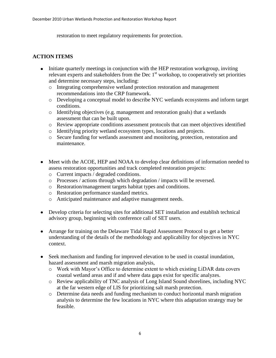restoration to meet regulatory requirements for protection.

# **ACTION ITEMS**

- Initiate quarterly meetings in conjunction with the HEP restoration workgroup, inviting relevant experts and stakeholders from the Dec  $1<sup>st</sup>$  workshop, to cooperatively set priorities and determine necessary steps, including:
	- o Integrating comprehensive wetland protection restoration and management recommendations into the CRP framework.
	- o Developing a conceptual model to describe NYC wetlands ecosystems and inform target conditions.
	- o Identifying objectives (e.g. management and restoration goals) that a wetlands assessment that can be built upon.
	- o Review appropriate conditions assessment protocols that can meet objectives identified
	- o Identifying priority wetland ecosystem types, locations and projects.
	- o Secure funding for wetlands assessment and monitoring, protection, restoration and maintenance.
- Meet with the ACOE, HEP and NOAA to develop clear definitions of information needed to assess restoration opportunities and track completed restoration projects:
	- o Current impacts / degraded conditions.
	- o Processes / actions through which degradation / impacts will be reversed.
	- o Restoration/management targets habitat types and conditions.
	- o Restoration performance standard metrics.
	- o Anticipated maintenance and adaptive management needs.
- Develop criteria for selecting sites for additional SET installation and establish technical advisory group, beginning with conference call of SET users.
- Arrange for training on the Delaware Tidal Rapid Assessment Protocol to get a better understanding of the details of the methodology and applicability for objectives in NYC context.
- Seek mechanism and funding for improved elevation to be used in coastal inundation, hazard assessment and marsh migration analysis,
	- o Work with Mayor's Office to determine extent to which existing LiDAR data covers coastal wetland areas and if and where data gaps exist for specific analyzes.
	- o Review applicability of TNC analysis of Long Island Sound shorelines, including NYC at the far western edge of LIS for prioritizing salt marsh protection.
	- o Determine data needs and funding mechanism to conduct horizontal marsh migration analysis to determine the few locations in NYC where this adaptation strategy may be feasible.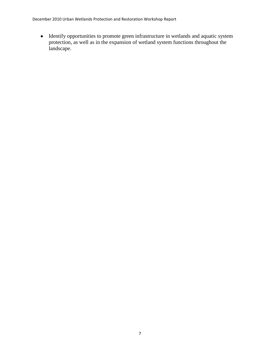December 2010 Urban Wetlands Protection and Restoration Workshop Report

Identify opportunities to promote green infrastructure in wetlands and aquatic system protection, as well as in the expansion of wetland system functions throughout the landscape.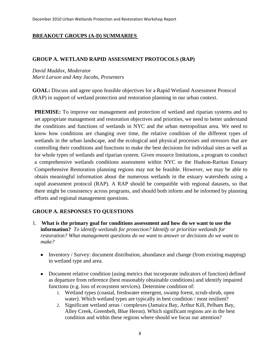# **BREAKOUT GROUPS (A-D) SUMMARIES**

#### **GROUP A. WETLAND RAPID ASSESSMENT PROTOCOLS (RAP)**

# *David Maddox, Moderator Marit Larson and Amy Jacobs, Presenters*

**GOAL:** Discuss and agree upon feasible objectives for a Rapid Wetland Assessment Protocol (RAP) in support of wetland protection and restoration planning in our urban context.

**PREMISE:** To improve our management and protection of wetland and riparian systems and to set appropriate management and restoration objectives and priorities, we need to better understand the conditions and functions of wetlands in NYC and the urban metropolitan area. We need to know how conditions are changing over time, the relative condition of the different types of wetlands in the urban landscape, and the ecological and physical processes and stressors that are controlling their conditions and functions to make the best decisions for individual sites as well as for whole types of wetlands and riparian system. Given resource limitations, a program to conduct a comprehensive wetlands conditions assessment within NYC or the Hudson-Raritan Estuary Comprehensive Restoration planning regions may not be feasible. However, we may be able to obtain meaningful information about the numerous wetlands in the estuary watersheds using a rapid assessment protocol (RAP). A RAP should be compatible with regional datasets, so that there might be consistency across programs, and should both inform and be informed by planning efforts and regional management questions.

# **GROUP A. RESPONSES TO QUESTIONS**

- 1. **What is the primary goal for conditions assessment and how do we want to use the information?** *To identify wetlands for protection? Identify or prioritize wetlands for restoration? What management questions do we want to answer or decisions do we want to make?*
	- Inventory / Survey: document distribution, abundance and change (from existing mapping) in wetland type and area.
	- Document relative condition (using metrics that incorporate indicators of function) defined as departure from reference (best reasonably obtainable conditions) and identify impaired functions (e.g. loss of ecosystem services). Determine condition of:
		- 1. Wetland types (coastal, freshwater emergent, swamp forest, scrub-shrub, open water). Which wetland types are typically in best condition / most resilient?
		- 2. Significant wetland areas / complexes (Jamaica Bay, Arthur Kill, Pelham Bay, Alley Creek, Greenbelt, Blue Heron). Which significant regions are in the best condition and within these regions where should we focus our attention?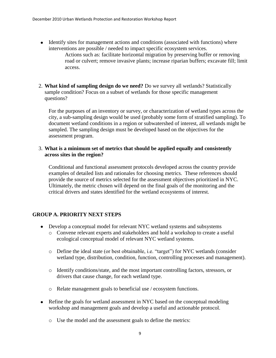• Identify sites for management actions and conditions (associated with functions) where interventions are possible / needed to impact specific ecosystem services.

Actions such as: facilitate horizontal migration by preserving buffer or removing road or culvert; remove invasive plants; increase riparian buffers; excavate fill; limit access.

2. **What kind of sampling design do we need?** Do we survey all wetlands? Statistically sample condition? Focus on a subset of wetlands for those specific management questions?

For the purposes of an inventory or survey, or characterization of wetland types across the city, a sub-sampling design would be used (probably some form of stratified sampling). To document wetland conditions in a region or subwatershed of interest, all wetlands might be sampled. The sampling design must be developed based on the objectives for the assessment program.

3. **What is a minimum set of metrics that should be applied equally and consistently across sites in the region?** 

Conditional and functional assessment protocols developed across the country provide examples of detailed lists and rationales for choosing metrics. These references should provide the source of metrics selected for the assessment objectives prioritized in NYC. Ultimately, the metric chosen will depend on the final goals of the monitoring and the critical drivers and states identified for the wetland ecosystems of interest.

# **GROUP A. PRIORITY NEXT STEPS**

- Develop a conceptual model for relevant NYC wetland systems and subsystems
	- o Convene relevant experts and stakeholders and hold a workshop to create a useful ecological conceptual model of relevant NYC wetland systems.
	- o Define the ideal state (or best obtainable, i.e. "target") for NYC wetlands (consider wetland type, distribution, condition, function, controlling processes and management).
	- o Identify conditions/state, and the most important controlling factors, stressors, or drivers that cause change, for each wetland type.
	- o Relate management goals to beneficial use / ecosystem functions.
- Refine the goals for wetland assessment in NYC based on the conceptual modeling workshop and management goals and develop a useful and actionable protocol.
	- o Use the model and the assessment goals to define the metrics: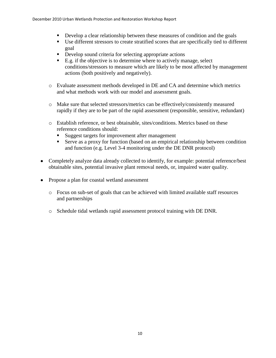- Develop a clear relationship between these measures of condition and the goals
- Use different stressors to create stratified scores that are specifically tied to different goal
- Develop sound criteria for selecting appropriate actions
- $\blacksquare$  E.g. if the objective is to determine where to actively manage, select conditions/stressors to measure which are likely to be most affected by management actions (both positively and negatively).
- o Evaluate assessment methods developed in DE and CA and determine which metrics and what methods work with our model and assessment goals.
- o Make sure that selected stressors/metrics can be effectively/consistently measured rapidly if they are to be part of the rapid assessment (responsible, sensitive, redundant)
- o Establish reference, or best obtainable, sites/conditions. Metrics based on these reference conditions should:
	- Suggest targets for improvement after management
	- Serve as a proxy for function (based on an empirical relationship between condition and function (e.g. Level 3-4 monitoring under the DE DNR protocol)
- Completely analyze data already collected to identify, for example: potential reference/best obtainable sites, potential invasive plant removal needs, or, impaired water quality.
- Propose a plan for coastal wetland assessment
	- o Focus on sub-set of goals that can be achieved with limited available staff resources and partnerships
	- o Schedule tidal wetlands rapid assessment protocol training with DE DNR.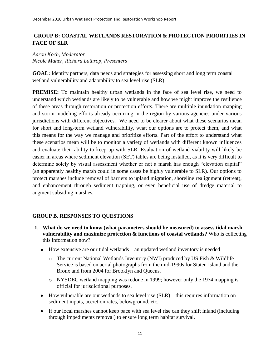# **GROUP B: COASTAL WETLANDS RESTORATION & PROTECTION PRIORITIES IN FACE OF SLR**

# *Aaron Koch, Moderator Nicole Maher, Richard Lathrop, Presenters*

**GOAL:** Identify partners, data needs and strategies for assessing short and long term coastal wetland vulnerability and adaptability to sea level rise (SLR)

**PREMISE:** To maintain healthy urban wetlands in the face of sea level rise, we need to understand which wetlands are likely to be vulnerable and how we might improve the resilience of these areas through restoration or protection efforts. There are multiple inundation mapping and storm-modeling efforts already occurring in the region by various agencies under various jurisdictions with different objectives. We need to be clearer about what these scenarios mean for short and long-term wetland vulnerability, what our options are to protect them, and what this means for the way we manage and prioritize efforts. Part of the effort to understand what these scenarios mean will be to monitor a variety of wetlands with different known influences and evaluate their ability to keep up with SLR. Evaluation of wetland viability will likely be easier in areas where sediment elevation (SET) tables are being installed, as it is very difficult to determine solely by visual assessment whether or not a marsh has enough "elevation capital" (an apparently healthy marsh could in some cases be highly vulnerable to SLR). Our options to protect marshes include removal of barriers to upland migration, shoreline realignment (retreat), and enhancement through sediment trapping, or even beneficial use of dredge material to augment subsiding marshes.

# **GROUP B. RESPONSES TO QUESTIONS**

- **1. What do we need to know (what parameters should be measured) to assess tidal marsh vulnerability and maximize protection & functions of coastal wetlands?** Who is collecting this information now?
	- How extensive are our tidal wetlands—an updated wetland inventory is needed
		- o The current National Wetlands Inventory (NWI) produced by US Fish & Wildlife Service is based on aerial photographs from the mid-1990s for Staten Island and the Bronx and from 2004 for Brooklyn and Queens.
		- o NYSDEC wetland mapping was redone in 1999; however only the 1974 mapping is official for jurisdictional purposes.
	- $\bullet$  How vulnerable are our wetlands to sea level rise (SLR) this requires information on sediment inputs, accretion rates, belowground, etc.
	- If our local marshes cannot keep pace with sea level rise can they shift inland (including through impediments removal) to ensure long term habitat survival.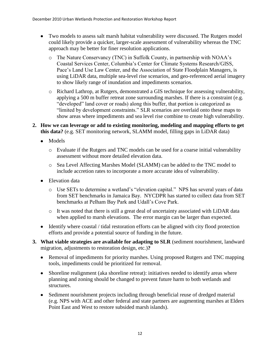- Two models to assess salt marsh habitat vulnerability were discussed. The Rutgers model could likely provide a quicker, larger-scale assessment of vulnerability whereas the TNC approach may be better for finer resolution applications.
	- o The Nature Conservancy (TNC) in Suffolk County, in partnership with NOAA's Coastal Services Center, Columbia's Center for Climate Systems Research/GISS, Pace's Land Use Law Center, and the Association of State Floodplain Managers, is using LiDAR data, multiple sea-level rise scenarios, and geo-referenced aerial imagery to show likely range of inundation and impediments scenarios.
	- o Richard Lathrop, at Rutgers, demonstrated a GIS technique for assessing vulnerability, applying a 500 m buffer retreat zone surrounding marshes. If there is a constraint (e.g. "developed" land cover or roads) along this buffer, that portion is categorized as "limited by development constraints." SLR scenarios are overlaid onto these maps to show areas where impediments and sea level rise combine to create high vulnerability.
- **2. How we can leverage or add to existing monitoring, modeling and mapping efforts to get this data?** (e.g. SET monitoring network, SLAMM model, filling gaps in LiDAR data)
	- Models
		- o Evaluate if the Rutgers and TNC models can be used for a coarse initial vulnerability assessment without more detailed elevation data.
		- o Sea Level Affecting Marshes Model (SLAMM) can be added to the TNC model to include accretion rates to incorporate a more accurate idea of vulnerability.
	- Elevation data
		- o Use SETs to determine a wetland's "elevation capital." NPS has several years of data from SET benchmarks in Jamaica Bay. NYCDPR has started to collect data from SET benchmarks at Pelham Bay Park and Udall's Cove Park.
		- o It was noted that there is still a great deal of uncertainty associated with LiDAR data when applied to marsh elevations. The error margin can be larger than expected.
	- Identify where coastal / tidal restoration efforts can be aligned with city flood protection efforts and provide a potential source of funding in the future.
- **3. What viable strategies are available for adapting to SLR** (sediment nourishment, landward migration, adjustments to restoration design, etc.)**?**
	- Removal of impediments for priority marshes. Using proposed Rutgers and TNC mapping tools, impediments could be prioritized for removal.
	- Shoreline realignment (aka shoreline retreat): initiatives needed to identify areas where planning and zoning should be changed to prevent future harm to both wetlands and structures.
	- Sediment nourishment projects including through beneficial reuse of dredged material (e.g. NPS with ACE and other federal and state partners are augmenting marshes at Elders Point East and West to restore subsided marsh islands).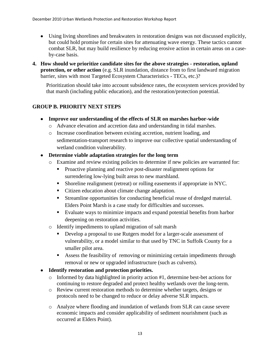- Using living shorelines and breakwaters in restoration designs was not discussed explicitly, but could hold promise for certain sites for attenuating wave energy. These tactics cannot combat SLR, but may build resilience by reducing erosive action in certain areas on a caseby-case basis.
- **4. How should we prioritize candidate sites for the above strategies - restoration, upland protection, or other action** (e.g. SLR inundation, distance from to first landward migration barrier, sites with most Targeted Ecosystem Characteristics - TECs, etc.)?

Prioritization should take into account subsidence rates, the ecosystem services provided by that marsh (including public education), and the restoration/protection potential.

# **GROUP B. PRIORITY NEXT STEPS**

- **Improve our understanding of the effects of SLR on marshes harbor-wide**
	- o Advance elevation and accretion data and understanding in tidal marshes.
	- o Increase coordination between existing accretion, nutrient loading, and sedimentation-transport research to improve our collective spatial understanding of wetland condition vulnerability.

# **Determine viable adaptation strategies for the long term**

- o Examine and review existing policies to determine if new policies are warranted for:
	- **Proactive planning and reactive post-disaster realignment options for** surrendering low-lying built areas to new marshland.
	- Shoreline realignment (retreat) or rolling easements if appropriate in NYC.
	- Citizen education about climate change adaptation.
	- Streamline opportunities for conducting beneficial reuse of dredged material. Elders Point Marsh is a case study for difficulties and successes.
	- Evaluate ways to minimize impacts and expand potential benefits from harbor deepening on restoration activities.
- o Identify impediments to upland migration of salt marsh
	- Develop a proposal to use Rutgers model for a larger-scale assessment of vulnerability, or a model similar to that used by TNC in Suffolk County for a smaller pilot area.
	- Assess the feasibility of removing or minimizing certain impediments through removal or new or upgraded infrastructure (such as culverts).
- **Identify restoration and protection priorities.** 
	- o Informed by data highlighted in priority action #1, determine best-bet actions for continuing to restore degraded and protect healthy wetlands over the long-term.
	- o Review current restoration methods to determine whether targets, designs or protocols need to be changed to reduce or delay adverse SLR impacts.
	- o Analyze where flooding and inundation of wetlands from SLR can cause severe economic impacts and consider applicability of sediment nourishment (such as occurred at Elders Point).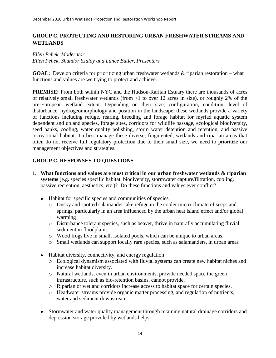# **GROUP C. PROTECTING AND RESTORING URBAN FRESHWATER STREAMS AND WETLANDS**

# *Ellen Pehek, Moderator*

*Ellen Pehek, Shandor Szalay and Lance Butler, Presenters*

**GOAL:** Develop criteria for prioritizing urban freshwater wetlands & riparian restoration – what functions and values are we trying to protect and achieve.

**PREMISE:** From both **w**ithin NYC and the Hudson-Raritan Estuary there are thousands of acres of relatively small freshwater wetlands (from <1 to over 12 acres in size), or roughly 2% of the pre-European wetland extent. Depending on their size, configuration, condition, level of disturbance, hydrogeomorphology and position in the landscape, these wetlands provide a variety of functions including refuge, rearing, breeding and forage habitat for myriad aquatic system dependent and upland species, forage sites, corridors for wildlife passage, ecological biodiversity, seed banks, cooling, water quality polishing, storm water detention and retention, and passive recreational habitat. To best manage these diverse, fragmented, wetlands and riparian areas that often do not receive full regulatory protection due to their small size, we need to prioritize our management objectives and strategies.

# **GROUP C. RESPONSES TO QUESTIONS**

- **1. What functions and values are most critical in our urban freshwater wetlands & riparian systems** (e.g. species specific habitat, biodiversity, stormwater capture/filtration, cooling, passive recreation, aesthetics, etc.)? Do these functions and values ever conflict?
	- Habitat for specific species and communities of species
		- o Dusky and spotted salamander take refuge in the cooler micro-climate of seeps and springs, particularly in an area influenced by the urban heat island effect and/or global warming
		- o Disturbance tolerant species, such as beaver, thrive in naturally accumulating fluvial sediment in floodplains.
		- o Wood frogs live in small, isolated pools, which can be unique to urban areas.
		- o Small wetlands can support locally rare species, such as salamanders, in urban areas
	- Habitat diversity, connectivity, and energy regulation
		- o Ecological dynamism associated with fluvial systems can create new habitat niches and increase habitat diversity.
		- o Natural wetlands, even in urban environments, provide needed space the green infrastructure, such as bio-retention basins, cannot provide.
		- o Riparian or wetland corridors increase access to habitat space for certain species.
		- o Headwater streams provide organic matter processing, and regulation of nutrients, water and sediment downstream.
	- Stormwater and water quality management through retaining natural drainage corridors and depression storage provided by wetlands helps: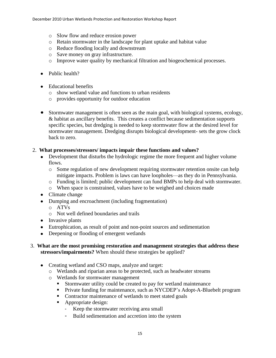- o Slow flow and reduce erosion power
- o Retain stormwater in the landscape for plant uptake and habitat value
- o Reduce flooding locally and downstream
- o Save money on gray infrastructure.
- o Improve water quality by mechanical filtration and biogeochemical processes.
- Public health?
- Educational benefits
	- o show wetland value and functions to urban residents
	- o provides opportunity for outdoor education
- Stormwater management is often seen as the main goal, with biological systems, ecology, & habitat as ancillary benefits. This creates a conflict because sedimentation supports specific species, but dredging is needed to keep stormwater flow at the desired level for stormwater management. Dredging disrupts biological development- sets the grow clock back to zero.

#### 2. **What processes/stressors/ impacts impair these functions and values?**

- Development that disturbs the hydrologic regime the more frequent and higher volume flows.
	- o Some regulation of new development requiring stormwater retention onsite can help mitigate impacts. Problem is laws can have loopholes—as they do in Pennsylvania.
	- o Funding is limited; public development can fund BMPs to help deal with stormwater.
	- o When space is constrained, values have to be weighed and choices made
- Climate change
- Dumping and encroachment (including fragmentation)
	- o ATVs
	- o Not well defined boundaries and trails
- $\bullet$  Invasive plants
- Eutrophication, as result of point and non-point sources and sedimentation
- Deepening or flooding of emergent wetlands
- 3. **What are the most promising restoration and management strategies that address these stressors/impairments?** When should these strategies be applied?
	- Creating wetland and CSO maps, analyze and target:
		- o Wetlands and riparian areas to be protected, such as headwater streams
		- o Wetlands for stormwater management
			- Stormwater utility could be created to pay for wetland maintenance
			- **Private funding for maintenance, such as NYCDEP's Adopt-A-Bluebelt program**
			- Contractor maintenance of wetlands to meet stated goals
			- Appropriate design:
				- Keep the stormwater receiving area small
				- Build sedimentation and accretion into the system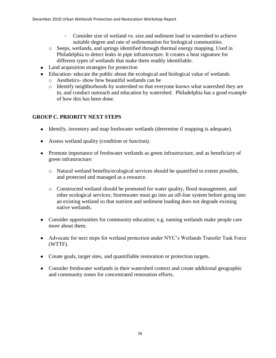- Consider size of wetland vs. size and sediment load in watershed to achieve suitable degree and rate of sedimentation for biological communities.
- o Seeps, wetlands, and springs identified through thermal energy mapping. Used in Philadelphia to detect leaks in pipe infrastructure. It creates a heat signature for different types of wetlands that make them readily identifiable.
- Land acquisition strategies for protection
- Education- educate the public about the ecological and biological value of wetlands
	- o Aesthetics- show how beautiful wetlands can be
	- o Identify neighborhoods by watershed so that everyone knows what watershed they are in, and conduct outreach and education by watershed. Philadelphia has a good example of how this has been done.

# **GROUP C. PRIORITY NEXT STEPS**

- Identify, inventory and map freshwater wetlands (determine if mapping is adequate).
- Assess wetland quality (condition or function).
- Promote importance of freshwater wetlands as green infrastructure, and as beneficiary of green infrastructure:
	- o Natural wetland benefits/ecological services should be quantified to extent possible, and protected and managed as a resource.
	- o Constructed wetland should be promoted for water quality, flood management, and other ecological services; Stormwater must go into an off-line system before going into an existing wetland so that nutrient and sediment loading does not degrade existing native wetlands.
- Consider opportunities for community education; e.g. naming wetlands make people care more about them.
- Advocate for next steps for wetland protection under NYC's Wetlands Transfer Task Force (WTTF).
- Create goals, target sites, and quantifiable restoration or protection targets.
- Consider freshwater wetlands in their watershed context and create additional geographic and community zones for concentrated restoration efforts.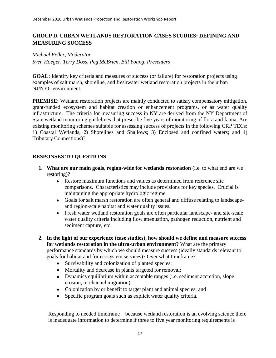# **GROUP D. URBAN WETLANDS RESTORATION CASES STUDIES: DEFINING AND MEASURING SUCCESS**

*Michael Feller, Moderator Sven Hoeger, Terry Doss, Peg McBrien, Bill Young, Presenters*

**GOAL:** Identify key criteria and measures of success (or failure) for restoration projects using examples of salt marsh, shoreline, and freshwater wetland restoration projects in the urban NJ/NYC environment.

**PREMISE:** Wetland restoration projects are mainly conducted to satisfy compensatory mitigation, grant-funded ecosystem and habitat creation or enhancement programs, or as water quality infrastructure. The criteria for measuring success in NY are derived from the NY Department of State wetland monitoring guidelines that prescribe five years of monitoring of flora and fauna. Are existing monitoring schemes suitable for assessing success of projects in the following CRP TECs: 1) Coastal Wetlands, 2) Shorelines and Shallows; 3) Enclosed and confined waters; and 4) Tributary Connections)?

# **RESPONSES TO QUESTIONS**

- **1. What are our main goals, region-wide for wetlands restoration** (i.e. to what end are we restoring)?
	- Restore maximum functions and values as determined from reference site comparisons. Characteristics may include provisions for key species. Crucial is maintaining the appropriate hydrologic regime.
	- Goals for salt marsh restoration are often general and diffuse relating to landscapeand region-scale habitat and water quality issues.
	- Fresh water wetland restoration goals are often particular landscape- and site-scale water quality criteria including flow attenuation, pathogen reduction, nutrient and sediment capture, etc.
- **2. In the light of our experience (case studies), how should we define and measure success for wetlands restoration in the ultra-urban environment?** What are the primary performance standards by which we should measure success (ideally standards relevant to goals for habitat and for ecosystem services)? Over what timeframe?
	- $\bullet$ Survivability and colonization of planted species;
	- Mortality and decrease in plants targeted for removal;
	- Dynamics equilibrium within acceptable ranges (i.e. sediment accretion, slope erosion, or channel migration);
	- Colonization by or benefit to target plant and animal species; and
	- Specific program goals such as explicit water quality criteria.

Responding to needed timeframe—because wetland restoration is an evolving science there is inadequate information to determine if three to five year monitoring requirements is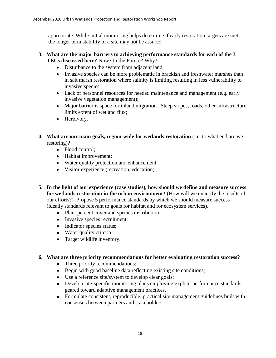appropriate. While initial monitoring helps determine if early restoration targets are met, the longer term stability of a site may not be assured.

#### **3. What are the major barriers to achieving performance standards for each of the 3 TECs discussed here?** Now? In the Future? Why?

- Disturbance to the system from adjacent land;
- Invasive species can be more problematic in brackish and freshwater marshes than in salt marsh restoration where salinity is limiting resulting in less vulnerability to invasive species.
- Lack of personnel resources for needed maintenance and management (e.g. early invasive vegetation management);
- Major barrier is space for inland migration. Steep slopes, roads, other infrastructure limits extent of wetland flux;
- Herbivory.
- **4. What are our main goals, region-wide for wetlands restoration** (i.e. to what end are we restoring)?
	- Flood control;
	- Habitat improvement;
	- Water quality protection and enhancement;
	- Visitor experience (recreation, education).
- **5. In the light of our experience (case studies), how should we define and measure success for wetlands restoration in the urban environment?** (How will we quantify the results of our efforts?) Propose 5 performance standards by which we should measure success (ideally standards relevant to goals for habitat and for ecosystem services).
	- Plant percent cover and species distribution;
	- Invasive species recruitment;
	- Indicator species status;
	- Water quality criteria;
	- Target wildlife inventory.

# **6. What are three priority recommendations for better evaluating restoration success?**

- Three priority recommendations:
- Begin with good baseline data reflecting existing site conditions;
- Use a reference site/system to develop clear goals;
- Develop site-specific monitoring plans employing explicit performance standards geared toward adaptive management practices.
- Formulate consistent, reproducible, practical site management guidelines built with  $\bullet$ consensus between partners and stakeholders.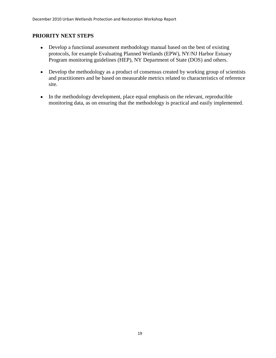# **PRIORITY NEXT STEPS**

- Develop a functional assessment methodology manual based on the best of existing protocols, for example Evaluating Planned Wetlands (EPW), NY/NJ Harbor Estuary Program monitoring guidelines (HEP), NY Department of State (DOS) and others.
- Develop the methodology as a product of consensus created by working group of scientists and practitioners and be based on measurable metrics related to characteristics of reference site.
- In the methodology development, place equal emphasis on the relevant, reproducible monitoring data, as on ensuring that the methodology is practical and easily implemented.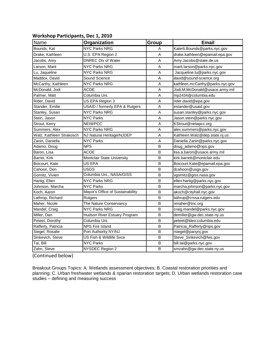#### **Workshop Participants, Dec 1, 2010**

| Name                     | Organization                     | Group | <b>Email</b>                    |
|--------------------------|----------------------------------|-------|---------------------------------|
| Bounds, Kat              | <b>NYC Parks NRG</b>             | A     | Katerli.Bounds@parks.nyc.gov    |
| Drake, Kathleen          | U.S. EPA Region 2                | A     | drake.kathleen@epamail.epa.gov  |
| Jacobs, Amy              | <b>DNREC Div of Water</b>        | A     | Amy.Jacobs@state.de.us          |
| Larson, Marit            | <b>NYC Parks NRG</b>             | A     | marit.larson@parks.nyc.gov      |
| Lu, Jaqueline            | <b>NYC Parks NRG</b>             | A     | Jacqueline.lu@parks.nyc.gov     |
| Maddox, David            | Sound Science                    | A     | david@sound-science.org         |
| McCarthy, Kathleen       | <b>NYC Parks NRG</b>             | A     | kathleen.mcCarthy@parks.nyc.gov |
| McDonald, Jodi           | <b>ACOE</b>                      | A     | Jodi.M.McDonald@usace.army.mil  |
| Palmer, Matt             | Columbia Uni.                    | A     | mp2434@columbia.edu             |
| Rider, David             | US EPA Region 3                  | A     | rider.david@epa.gov             |
| Stander, Emilie          | USAID / formerly EPA & Rutgers   | A     | estander@usaid.gov              |
| Stanley, Susan           | <b>NYC Parks NRG</b>             | A     | susan.stanley@parks.nyc.gov     |
| Stein, Jason             | <b>NYC Parks</b>                 | A     | Jason.stein@parks.nyc.gov       |
| Strout, Kerry            | <b>NEIWPCC</b>                   | A     | KStrout@neiwpcc.org             |
| Summers, Alex            | <b>NYC Parks NRG</b>             | A     | alex.summers@parks.nyc.gov      |
| Walz, Kathleen Strakosch | NJ Natural Heritage/NJDEP        | A     | Kathleen.Walz@dep.state.nj.us   |
| Zanin, Daniella          | <b>NYC Parks</b>                 | A     | Daniella.Zanin@parks.nyc.gov    |
| Adamo, Doug              | <b>NPS</b>                       | B     | doug_adamo@nps.gov              |
| Baron, Lisa              | ACOE                             | B     | lisa.a.baron@usace.army.mil     |
| Barret, Kirk             | Montclair State University       | В     | kirk.barrett@montclair.edu      |
| Boicourt, Kate           | US EPA                           | B     | Boicourt.Kate@epamail.epa.gov   |
| Cahoon, Don              | <b>USGS</b>                      | В     | dcahoon@usgs.gov                |
| Gornitz, Vivien          | Columbia Uni., NASA/GISS         | B     | vgornitz@giss.nasa.gov          |
| Hartig, Ellen            | <b>NYC Parks NRG</b>             | B     | ellen.hartig@parks.nyc.gov      |
| Johnson, Marcha          | <b>NYC Parks</b>                 | В     | marcha.johnson@parks.nyc.gov    |
| Koch, Aaron              | Mayor's Office of Sustainability | B     | akoch@cityhall.nyc.gov          |
| Lathrop, Richard         | Rutgers                          | В     | lathrop@crssa.rutgers.edu       |
| Maher, Nicole            | The Nature Conservancy           | B     | nmaher@tnc.org                  |
| Mandel, Craig            | <b>NYC Parks NRG</b>             | B     | craig.mandel@parks.nyc.gov      |
| Miller, Dan              | Hudson River Estuary Program     | В     | demiller@gw.dec.state.ny.us     |
| Peteet, Dorothy          | Columbia Uni.                    | B     | peteet@ldeo.columbia.edu        |
| Rafferty, Patricia       | <b>NPS Fire Island</b>           | В     | Patricia_Rafferty@nps.gov       |
| Siegel, Rosalie          | Port Authority NY/NJ             | B     | rsiegel@panynj.gov              |
| Sinkevich, Steve         | US Fish & Wildlife Svce          | В     | Steve_Sinkevich@fws.gov         |
| Tai, Bill                | <b>NYC Parks</b>                 | В     | bill.tai@parks.nyc.gov          |
| Zahn, Steve              | NYSDEC Region 2                  | В     | smzahn@gw.dec.state.ny.us       |

(Continued below)

Breakout Groups Topics: A. Wetlands assessment objectives; B. Coastal restoration priorities and planning; C. Urban freshwater wetlands & riparian restoration targets; D. Urban wetlands restoration case studies – defining and measuring success